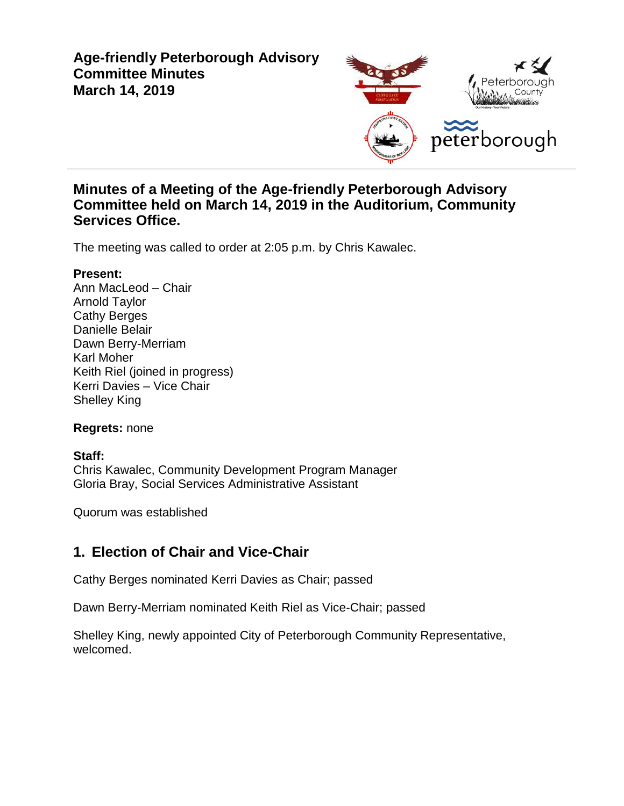### **Age-friendly Peterborough Advisory Committee Minutes March 14, 2019**



#### **Minutes of a Meeting of the Age-friendly Peterborough Advisory Committee held on March 14, 2019 in the Auditorium, Community Services Office.**

The meeting was called to order at 2:05 p.m. by Chris Kawalec.

#### **Present:**

Ann MacLeod – Chair Arnold Taylor Cathy Berges Danielle Belair Dawn Berry-Merriam Karl Moher Keith Riel (joined in progress) Kerri Davies – Vice Chair Shelley King

#### **Regrets:** none

#### **Staff:**

Chris Kawalec, Community Development Program Manager Gloria Bray, Social Services Administrative Assistant

Quorum was established

### **1. Election of Chair and Vice-Chair**

Cathy Berges nominated Kerri Davies as Chair; passed

Dawn Berry-Merriam nominated Keith Riel as Vice-Chair; passed

Shelley King, newly appointed City of Peterborough Community Representative, welcomed.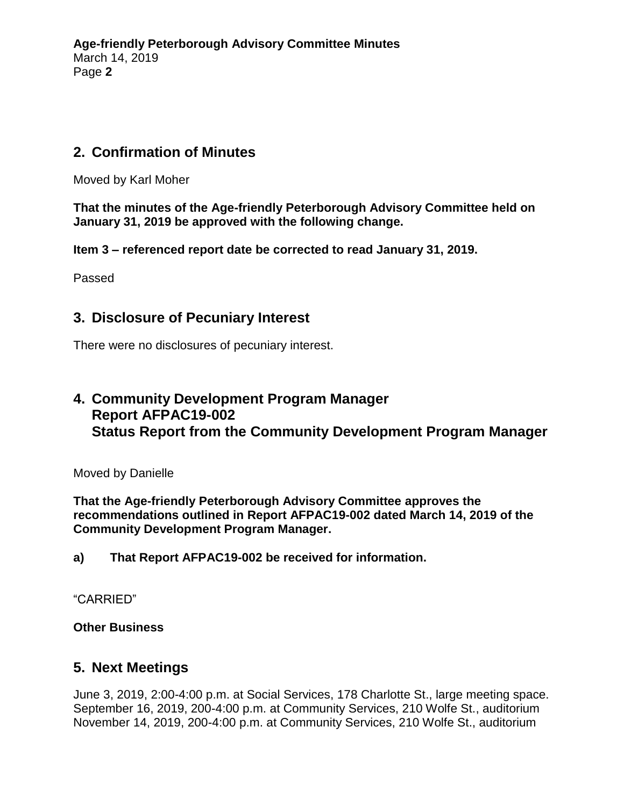### **2. Confirmation of Minutes**

Moved by Karl Moher

**That the minutes of the Age-friendly Peterborough Advisory Committee held on January 31, 2019 be approved with the following change.**

**Item 3 – referenced report date be corrected to read January 31, 2019.**

Passed

#### **3. Disclosure of Pecuniary Interest**

There were no disclosures of pecuniary interest.

## **4. Community Development Program Manager Report AFPAC19-002 Status Report from the Community Development Program Manager**

Moved by Danielle

**That the Age-friendly Peterborough Advisory Committee approves the recommendations outlined in Report AFPAC19-002 dated March 14, 2019 of the Community Development Program Manager.**

**a) That Report AFPAC19-002 be received for information.**

"CARRIED"

**Other Business**

#### **5. Next Meetings**

June 3, 2019, 2:00-4:00 p.m. at Social Services, 178 Charlotte St., large meeting space. September 16, 2019, 200-4:00 p.m. at Community Services, 210 Wolfe St., auditorium November 14, 2019, 200-4:00 p.m. at Community Services, 210 Wolfe St., auditorium